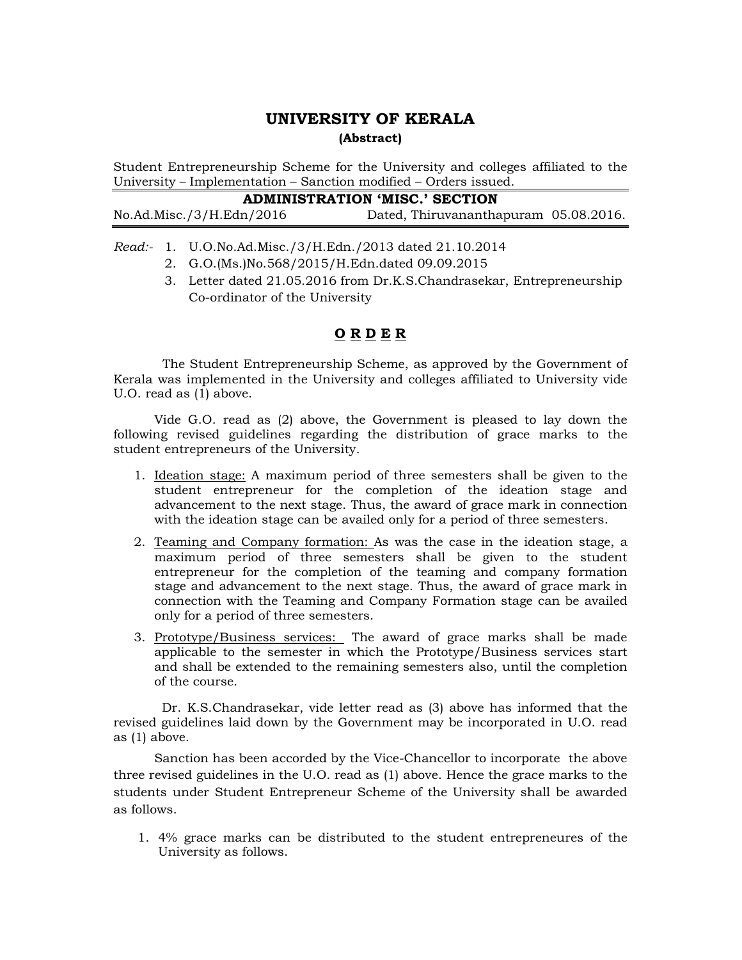## UNIVERSITY OF KERALA (Abstract)

Student Entrepreneurship Scheme for the University and colleges affiliated to the University – Implementation – Sanction modified – Orders issued.

| ADMINISTRATION 'MISC.' SECTION |  |
|--------------------------------|--|
|--------------------------------|--|

No.Ad.Misc./3/H.Edn/2016 Dated, Thiruvananthapuram 05.08.2016.

Read:- 1. U.O.No.Ad.Misc./3/H.Edn./2013 dated 21.10.2014

- 2. G.O.(Ms.)No.568/2015/H.Edn.dated 09.09.2015
- 3. Letter dated 21.05.2016 from Dr.K.S.Chandrasekar, Entrepreneurship Co-ordinator of the University

## O R D E R

 The Student Entrepreneurship Scheme, as approved by the Government of Kerala was implemented in the University and colleges affiliated to University vide U.O. read as (1) above.

 Vide G.O. read as (2) above, the Government is pleased to lay down the following revised guidelines regarding the distribution of grace marks to the student entrepreneurs of the University.

- 1. Ideation stage: A maximum period of three semesters shall be given to the student entrepreneur for the completion of the ideation stage and advancement to the next stage. Thus, the award of grace mark in connection with the ideation stage can be availed only for a period of three semesters.
- 2. Teaming and Company formation: As was the case in the ideation stage, a maximum period of three semesters shall be given to the student entrepreneur for the completion of the teaming and company formation stage and advancement to the next stage. Thus, the award of grace mark in connection with the Teaming and Company Formation stage can be availed only for a period of three semesters.
- 3. Prototype/Business services: The award of grace marks shall be made applicable to the semester in which the Prototype/Business services start and shall be extended to the remaining semesters also, until the completion of the course.

 Dr. K.S.Chandrasekar, vide letter read as (3) above has informed that the revised guidelines laid down by the Government may be incorporated in U.O. read as (1) above.

 Sanction has been accorded by the Vice-Chancellor to incorporate the above three revised guidelines in the U.O. read as (1) above. Hence the grace marks to the students under Student Entrepreneur Scheme of the University shall be awarded as follows.

1. 4% grace marks can be distributed to the student entrepreneures of the University as follows.